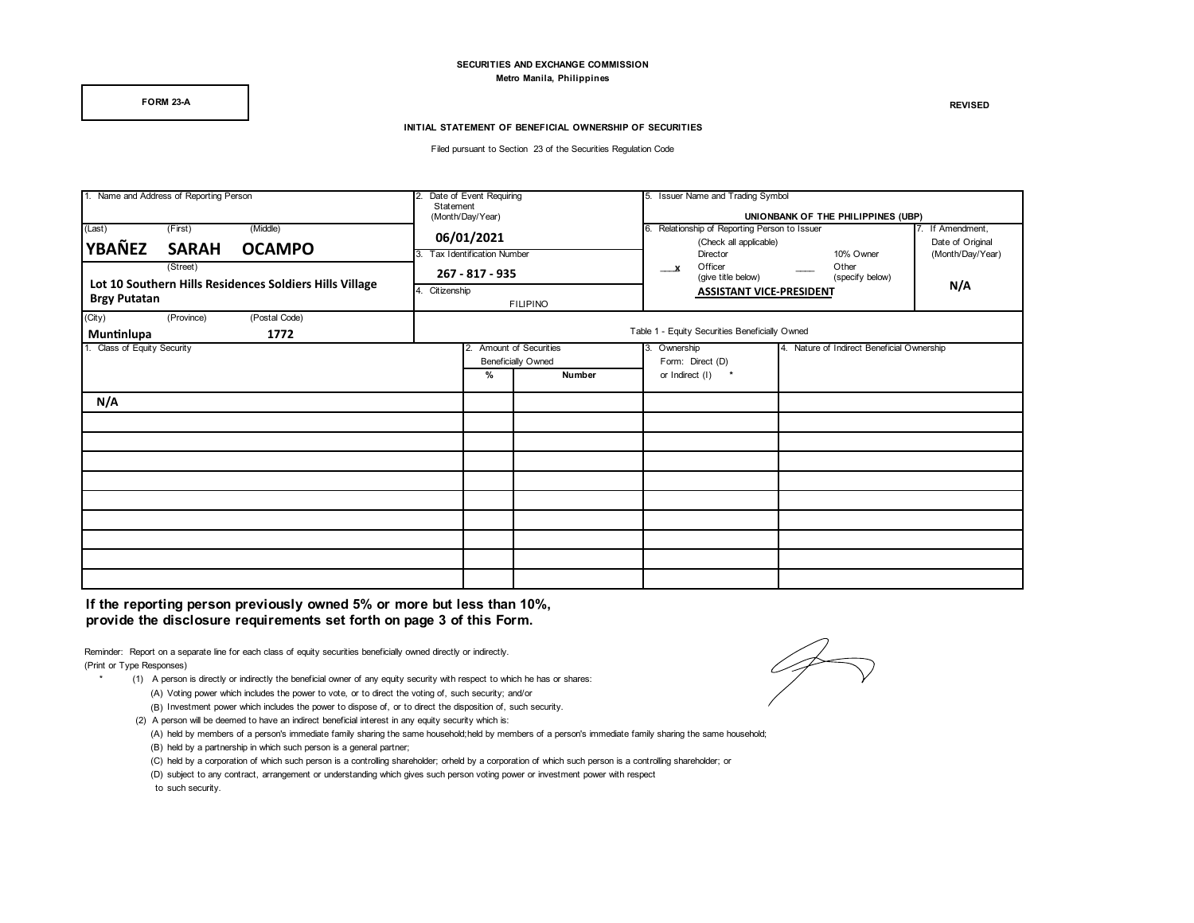#### **SECURITIES AND EXCHANGE COMMISSION Metro Manila, Philippines**

#### **FORM 23-A REVISED**

#### **INITIAL STATEMENT OF BENEFICIAL OWNERSHIP OF SECURITIES**

Filed pursuant to Section 23 of the Securities Regulation Code

| (Last)<br><b>YBAÑEZ</b><br><b>Brgy Putatan</b> | 1. Name and Address of Reporting Person<br>(Middle)<br>(First)<br><b>SARAH</b><br><b>OCAMPO</b><br>(Street)<br>Lot 10 Southern Hills Residences Soldiers Hills Village |               | Statement<br>4. Citizenship | 2. Date of Event Requiring<br>(Month/Day/Year)<br>06/01/2021<br>3. Tax Identification Number<br>267 - 817 - 935 | <b>FILIPINO</b>                                             | 5. Issuer Name and Trading Symbol<br>UNIONBANK OF THE PHILIPPINES (UBP)<br>6. Relationship of Reporting Person to Issuer<br>If Amendment,<br>Date of Original<br>(Check all applicable)<br>(Month/Day/Year)<br>10% Owner<br>Director<br>Officer<br>Other<br>$\overline{\phantom{1}}$<br>(specify below)<br>(give title below)<br>N/A<br><b>ASSISTANT VICE-PRESIDENT</b> |                                            |  |
|------------------------------------------------|------------------------------------------------------------------------------------------------------------------------------------------------------------------------|---------------|-----------------------------|-----------------------------------------------------------------------------------------------------------------|-------------------------------------------------------------|-------------------------------------------------------------------------------------------------------------------------------------------------------------------------------------------------------------------------------------------------------------------------------------------------------------------------------------------------------------------------|--------------------------------------------|--|
| (City)                                         | (Province)                                                                                                                                                             | (Postal Code) |                             |                                                                                                                 |                                                             |                                                                                                                                                                                                                                                                                                                                                                         |                                            |  |
| Muntinlupa                                     |                                                                                                                                                                        | 1772          |                             |                                                                                                                 |                                                             | Table 1 - Equity Securities Beneficially Owned                                                                                                                                                                                                                                                                                                                          |                                            |  |
| Class of Equity Security                       |                                                                                                                                                                        |               |                             | 2.<br>%                                                                                                         | Amount of Securities<br><b>Beneficially Owned</b><br>Number | 3. Ownership<br>Form: Direct (D)<br>$\quad$ $\quad$<br>or Indirect (I)                                                                                                                                                                                                                                                                                                  | 4. Nature of Indirect Beneficial Ownership |  |
| N/A                                            |                                                                                                                                                                        |               |                             |                                                                                                                 |                                                             |                                                                                                                                                                                                                                                                                                                                                                         |                                            |  |
|                                                |                                                                                                                                                                        |               |                             |                                                                                                                 |                                                             |                                                                                                                                                                                                                                                                                                                                                                         |                                            |  |
|                                                |                                                                                                                                                                        |               |                             |                                                                                                                 |                                                             |                                                                                                                                                                                                                                                                                                                                                                         |                                            |  |
|                                                |                                                                                                                                                                        |               |                             |                                                                                                                 |                                                             |                                                                                                                                                                                                                                                                                                                                                                         |                                            |  |
|                                                |                                                                                                                                                                        |               |                             |                                                                                                                 |                                                             |                                                                                                                                                                                                                                                                                                                                                                         |                                            |  |
|                                                |                                                                                                                                                                        |               |                             |                                                                                                                 |                                                             |                                                                                                                                                                                                                                                                                                                                                                         |                                            |  |
|                                                |                                                                                                                                                                        |               |                             |                                                                                                                 |                                                             |                                                                                                                                                                                                                                                                                                                                                                         |                                            |  |
|                                                |                                                                                                                                                                        |               |                             |                                                                                                                 |                                                             |                                                                                                                                                                                                                                                                                                                                                                         |                                            |  |
|                                                |                                                                                                                                                                        |               |                             |                                                                                                                 |                                                             |                                                                                                                                                                                                                                                                                                                                                                         |                                            |  |
|                                                |                                                                                                                                                                        |               |                             |                                                                                                                 |                                                             |                                                                                                                                                                                                                                                                                                                                                                         |                                            |  |

**If the reporting person previously owned 5% or more but less than 10%, provide the disclosure requirements set forth on page 3 of this Form.** 

Reminder: Report on a separate line for each class of equity securities beneficially owned directly or indirectly. (Print or Type Responses)

(1) A person is directly or indirectly the beneficial owner of any equity security with respect to which he has or shares: (A) Voting power which includes the power to vote, or to direct the voting of, such security; and/or

- (B) Investment power which includes the power to dispose of, or to direct the disposition of, such security.
- (2) A person will be deemed to have an indirect beneficial interest in any equity security which is:
	- (A) held by members of a person's immediate family sharing the same household;held by members of a person's immediate family sharing the same household;
	- (B) held by a partnership in which such person is a general partner;
	- (C) held by a corporation of which such person is a controlling shareholder; orheld by a corporation of which such person is a controlling shareholder; or
	- (D) subject to any contract, arrangement or understanding which gives such person voting power or investment power with respect

to such security.

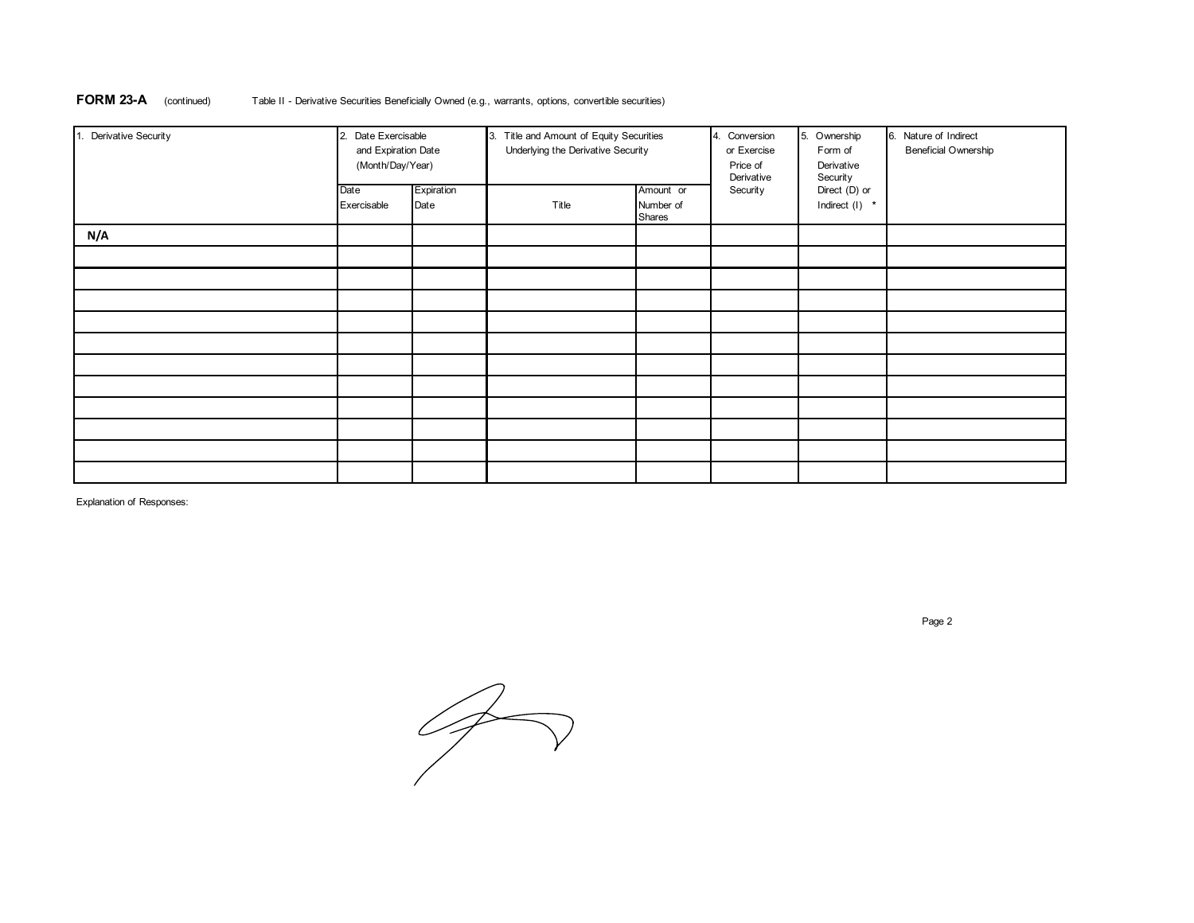# **FORM 23-A** (continued) Table II - Derivative Securities Beneficially Owned (e.g., warrants, options, convertible securities)

| 1. Derivative Security | 2. Date Exercisable<br>and Expiration Date<br>(Month/Day/Year) |                    | 3. Title and Amount of Equity Securities<br>Underlying the Derivative Security |                                  | 4. Conversion<br>or Exercise<br>Price of<br>Derivative | 5. Ownership<br>Form of<br>Derivative<br>Security | 6. Nature of Indirect<br><b>Beneficial Ownership</b> |
|------------------------|----------------------------------------------------------------|--------------------|--------------------------------------------------------------------------------|----------------------------------|--------------------------------------------------------|---------------------------------------------------|------------------------------------------------------|
|                        | Date<br>Exercisable                                            | Expiration<br>Date | Title                                                                          | Amount or<br>Number of<br>Shares | Security                                               | Direct (D) or<br>Indirect (I) *                   |                                                      |
| N/A                    |                                                                |                    |                                                                                |                                  |                                                        |                                                   |                                                      |
|                        |                                                                |                    |                                                                                |                                  |                                                        |                                                   |                                                      |
|                        |                                                                |                    |                                                                                |                                  |                                                        |                                                   |                                                      |
|                        |                                                                |                    |                                                                                |                                  |                                                        |                                                   |                                                      |
|                        |                                                                |                    |                                                                                |                                  |                                                        |                                                   |                                                      |
|                        |                                                                |                    |                                                                                |                                  |                                                        |                                                   |                                                      |
|                        |                                                                |                    |                                                                                |                                  |                                                        |                                                   |                                                      |
|                        |                                                                |                    |                                                                                |                                  |                                                        |                                                   |                                                      |
|                        |                                                                |                    |                                                                                |                                  |                                                        |                                                   |                                                      |
|                        |                                                                |                    |                                                                                |                                  |                                                        |                                                   |                                                      |
|                        |                                                                |                    |                                                                                |                                  |                                                        |                                                   |                                                      |
|                        |                                                                |                    |                                                                                |                                  |                                                        |                                                   |                                                      |

Explanation of Responses:

Page 2

 $\begin{picture}(120,17)(-20,17)(-20,17)(-20,17)(-20,17)(-20,17)(-20,17)(-20,17)(-20,17)(-20,17)(-20,17)(-20,17)(-20,17)(-20,17)(-20,17)(-20,17)(-20,17)(-20,17)(-20,17)(-20,17)(-20,17)(-20,17)(-20,17)(-20,17)(-20,17)(-20,17)(-20,17)(-20,17)(-20,17)(-20,17)(-20,1$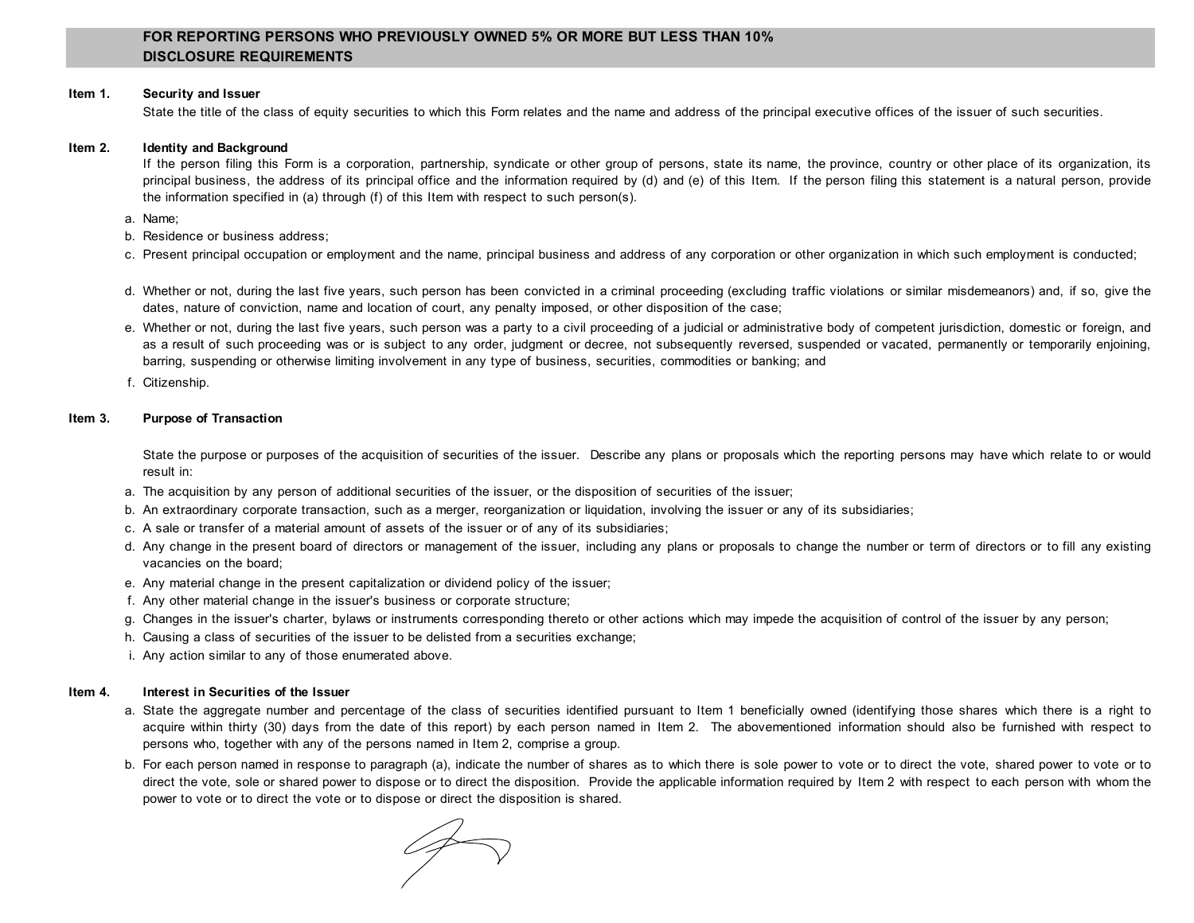## **FOR REPORTING PERSONS WHO PREVIOUSLY OWNED 5% OR MORE BUT LESS THAN 10% DISCLOSURE REQUIREMENTS**

### **Item 1. Security and Issuer**

State the title of the class of equity securities to which this Form relates and the name and address of the principal executive offices of the issuer of such securities.

#### **Item 2. Identity and Background**

If the person filing this Form is a corporation, partnership, syndicate or other group of persons, state its name, the province, country or other place of its organization, its principal business, the address of its principal office and the information required by (d) and (e) of this Item. If the person filing this statement is a natural person, provide the information specified in (a) through (f) of this Item with respect to such person(s).

- a. Name;
- b. Residence or business address;
- c. Present principal occupation or employment and the name, principal business and address of any corporation or other organization in which such employment is conducted;
- d. Whether or not, during the last five years, such person has been convicted in a criminal proceeding (excluding traffic violations or similar misdemeanors) and, if so, give the dates, nature of conviction, name and location of court, any penalty imposed, or other disposition of the case;
- e. Whether or not, during the last five years, such person was a party to a civil proceeding of a judicial or administrative body of competent jurisdiction, domestic or foreign, and as a result of such proceeding was or is subject to any order, judgment or decree, not subsequently reversed, suspended or vacated, permanently or temporarily enjoining, barring, suspending or otherwise limiting involvement in any type of business, securities, commodities or banking; and
- f. Citizenship.

#### **Item 3. Purpose of Transaction**

State the purpose or purposes of the acquisition of securities of the issuer. Describe any plans or proposals which the reporting persons may have which relate to or would result in:

- a. The acquisition by any person of additional securities of the issuer, or the disposition of securities of the issuer;
- b. An extraordinary corporate transaction, such as a merger, reorganization or liquidation, involving the issuer or any of its subsidiaries;
- c. A sale or transfer of a material amount of assets of the issuer or of any of its subsidiaries;
- d. Any change in the present board of directors or management of the issuer, including any plans or proposals to change the number or term of directors or to fill any existing vacancies on the board;
- e. Any material change in the present capitalization or dividend policy of the issuer;
- f. Any other material change in the issuer's business or corporate structure;
- g. Changes in the issuer's charter, bylaws or instruments corresponding thereto or other actions which may impede the acquisition of control of the issuer by any person;
- h. Causing a class of securities of the issuer to be delisted from a securities exchange;
- i. Any action similar to any of those enumerated above.

#### **Item 4. Interest in Securities of the Issuer**

- a. State the aggregate number and percentage of the class of securities identified pursuant to Item 1 beneficially owned (identifying those shares which there is a right to acquire within thirty (30) days from the date of this report) by each person named in Item 2. The abovementioned information should also be furnished with respect to persons who, together with any of the persons named in Item 2, comprise a group.
- b. For each person named in response to paragraph (a), indicate the number of shares as to which there is sole power to vote or to direct the vote, shared power to vote or to direct the vote, sole or shared power to dispose or to direct the disposition. Provide the applicable information required by Item 2 with respect to each person with whom the power to vote or to direct the vote or to dispose or direct the disposition is shared.